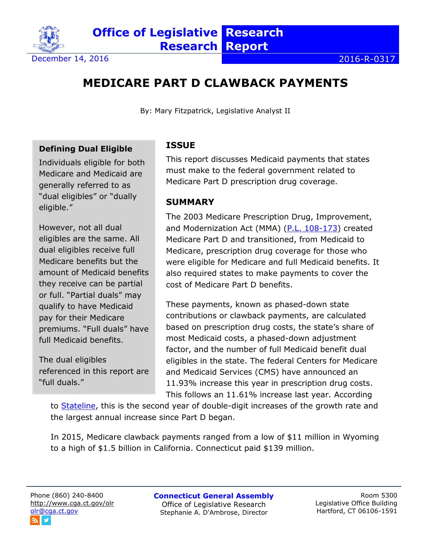

# **MEDICARE PART D CLAWBACK PAYMENTS**

By: Mary Fitzpatrick, Legislative Analyst II

#### **Defining Dual Eligible**

Individuals eligible for both Medicare and Medicaid are generally referred to as "dual eligibles" or "dually eligible."

However, not all dual eligibles are the same. All dual eligibles receive full Medicare benefits but the amount of Medicaid benefits they receive can be partial or full. "Partial duals" may qualify to have Medicaid pay for their Medicare premiums. "Full duals" have full Medicaid benefits.

The dual eligibles referenced in this report are "full duals."

# **ISSUE**

This report discusses Medicaid payments that states must make to the federal government related to Medicare Part D prescription drug coverage.

#### **SUMMARY**

The 2003 Medicare Prescription Drug, Improvement, and Modernization Act (MMA) [\(P.L. 108-173\)](https://www.gpo.gov/fdsys/pkg/PLAW-108publ173/html/PLAW-108publ173.htm) created Medicare Part D and transitioned, from Medicaid to Medicare, prescription drug coverage for those who were eligible for Medicare and full Medicaid benefits. It also required states to make payments to cover the cost of Medicare Part D benefits.

These payments, known as phased-down state contributions or clawback payments, are calculated based on prescription drug costs, the state's share of most Medicaid costs, a phased-down adjustment factor, and the number of full Medicaid benefit dual eligibles in the state. The federal Centers for Medicare and Medicaid Services (CMS) have announced an 11.93% increase this year in prescription drug costs. This follows an 11.61% increase last year. According

to **Stateline**, this is the second year of double-digit increases of the growth rate and the largest annual increase since Part D began.

In 2015, Medicare clawback payments ranged from a low of \$11 million in Wyoming to a high of \$1.5 billion in California. Connecticut paid \$139 million.

**Connecticut General Assembly** Office of Legislative Research Stephanie A. D'Ambrose, Director

Room 5300 Legislative Office Building Hartford, CT 06106-1591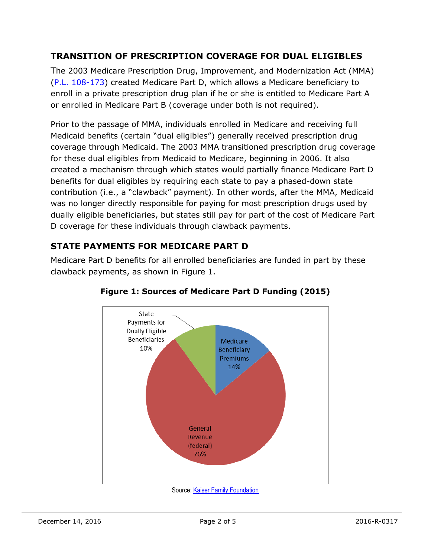## **TRANSITION OF PRESCRIPTION COVERAGE FOR DUAL ELIGIBLES**

The 2003 Medicare Prescription Drug, Improvement, and Modernization Act (MMA) [\(P.L. 108-173\)](https://www.gpo.gov/fdsys/pkg/PLAW-108publ173/html/PLAW-108publ173.htm) created Medicare Part D, which allows a Medicare beneficiary to enroll in a private prescription drug plan if he or she is entitled to Medicare Part A or enrolled in Medicare Part B (coverage under both is not required).

Prior to the passage of MMA, individuals enrolled in Medicare and receiving full Medicaid benefits (certain "dual eligibles") generally received prescription drug coverage through Medicaid. The 2003 MMA transitioned prescription drug coverage for these dual eligibles from Medicaid to Medicare, beginning in 2006. It also created a mechanism through which states would partially finance Medicare Part D benefits for dual eligibles by requiring each state to pay a phased-down state contribution (i.e., a "clawback" payment). In other words, after the MMA, Medicaid was no longer directly responsible for paying for most prescription drugs used by dually eligible beneficiaries, but states still pay for part of the cost of Medicare Part D coverage for these individuals through clawback payments.

# **STATE PAYMENTS FOR MEDICARE PART D**

Medicare Part D benefits for all enrolled beneficiaries are funded in part by these clawback payments, as shown in Figure 1.



#### **Figure 1: Sources of Medicare Part D Funding (2015)**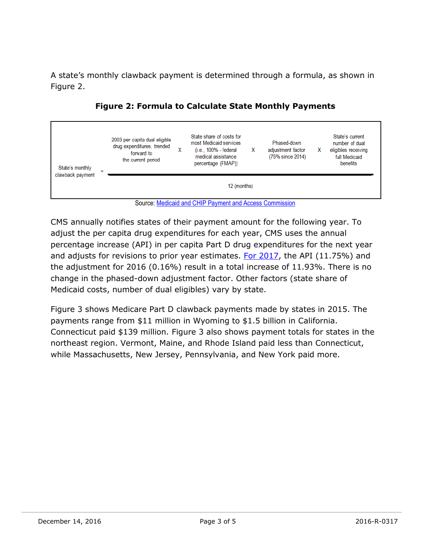A state's monthly clawback payment is determined through a formula, as shown in Figure 2.



**Figure 2: Formula to Calculate State Monthly Payments**



CMS annually notifies states of their payment amount for the following year. To adjust the per capita drug expenditures for each year, CMS uses the annual percentage increase (API) in per capita Part D drug expenditures for the next year and adjusts for revisions to prior year estimates. [For 2017,](http://www.ffis.org/sites/default/files/public/cmcs_state_phasedown-cy2017q123.pdf) the API (11.75%) and the adjustment for 2016 (0.16%) result in a total increase of 11.93%. There is no change in the phased-down adjustment factor. Other factors (state share of Medicaid costs, number of dual eligibles) vary by state.

Figure 3 shows Medicare Part D clawback payments made by states in 2015. The payments range from \$11 million in Wyoming to \$1.5 billion in California. Connecticut paid \$139 million. Figure 3 also shows payment totals for states in the northeast region. Vermont, Maine, and Rhode Island paid less than Connecticut, while Massachusetts, New Jersey, Pennsylvania, and New York paid more.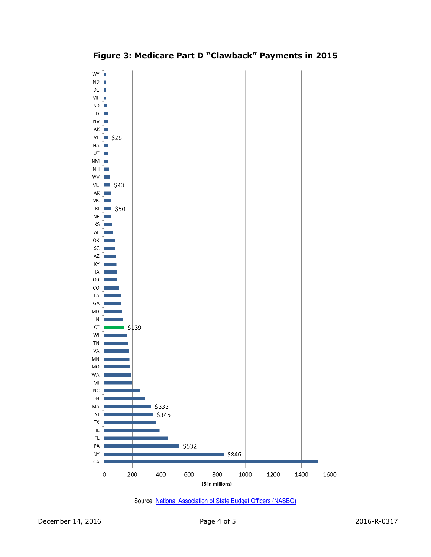

## **Figure 3: Medicare Part D "Clawback" Payments in 2015**

Source: [National Association of State Budget Officers \(NASBO\)](https://higherlogicdownload.s3.amazonaws.com/NASBO/9d2d2db1-c943-4f1b-b750-0fca152d64c2/UploadedImages/SER%20Archive/State%20Expenditure%20Report%20(Fiscal%202014-2016)%20-%20S.pdf)